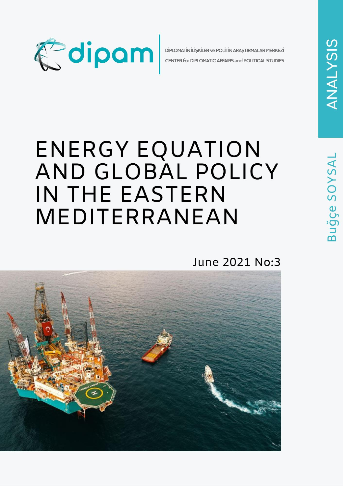

DİPLOMATİK İLİŞKİLER ve POLİTİK ARAŞTIRMALAR MERKEZİ CENTER for DIPLOMATIC AFFAIRS and POLITICAL STUDIES

# ENERGY EQUATION AND GLOBAL POLICY IN THE EASTERN MEDITERRANEAN

June 2021 No:3

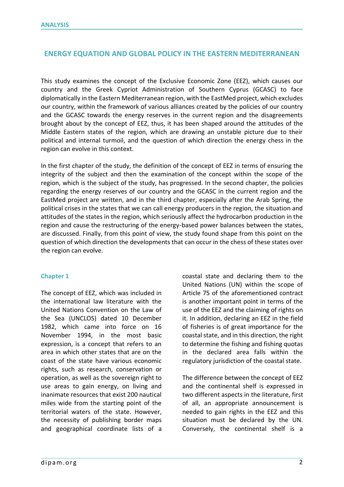## **ENERGY EQUATION AND GLOBAL POLICY IN THE EASTERN MEDITERRANEAN**

This study examines the concept of the Exclusive Economic Zone (EEZ), which causes our country and the Greek Cypriot Administration of Southern Cyprus (GCASC) to face diplomatically in the Eastern Mediterranean region, with the EastMed project, which excludes our country, within the framework of various alliances created by the policies of our country and the GCASC towards the energy reserves in the current region and the disagreements brought about by the concept of EEZ, thus, it has been shaped around the attitudes of the Middle Eastern states of the region, which are drawing an unstable picture due to their political and internal turmoil, and the question of which direction the energy chess in the region can evolve in this context.

In the first chapter of the study, the definition of the concept of EEZ in terms of ensuring the integrity of the subject and then the examination of the concept within the scope of the region, which is the subject of the study, has progressed. In the second chapter, the policies regarding the energy reserves of our country and the GCASC in the current region and the EastMed project are written, and in the third chapter, especially after the Arab Spring, the political crises in the states that we can call energy producers in the region, the situation and attitudes of the states in the region, which seriously affect the hydrocarbon production in the region and cause the restructuring of the energy-based power balances between the states, are discussed. Finally, from this point of view, the study found shape from this point on the question of which direction the developments that can occur in the chess of these states over the region can evolve.

### **Chapter 1**

The concept of EEZ, which was included in the international law literature with the United Nations Convention on the Law of the Sea (UNCLOS) dated 10 December 1982, which came into force on 16 November 1994, in the most basic expression, is a concept that refers to an area in which other states that are on the coast of the state have various economic rights, such as research, conservation or operation, as well as the sovereign right to use areas to gain energy, on living and inanimate resources that exist 200 nautical miles wide from the starting point of the territorial waters of the state. However, the necessity of publishing border maps and geographical coordinate lists of a coastal state and declaring them to the United Nations (UN) within the scope of Article 75 of the aforementioned contract is another important point in terms of the use of the EEZ and the claiming of rights on it. In addition, declaring an EEZ in the field of fisheries is of great importance for the coastal state, and in this direction, the right to determine the fishing and fishing quotas in the declared area falls within the regulatory jurisdiction of the coastal state.

The difference between the concept of EEZ and the continental shelf is expressed in two different aspects in the literature, first of all, an appropriate announcement is needed to gain rights in the EEZ and this situation must be declared by the UN. Conversely, the continental shelf is a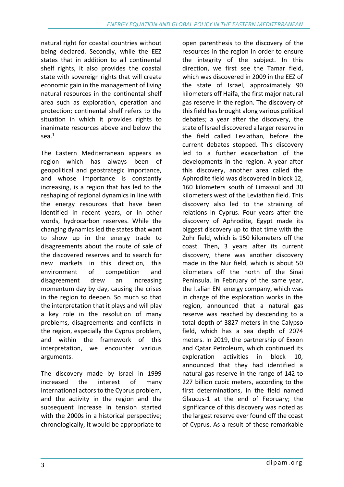natural right for coastal countries without being declared. Secondly, while the EEZ states that in addition to all continental shelf rights, it also provides the coastal state with sovereign rights that will create economic gain in the management of living natural resources in the continental shelf area such as exploration, operation and protection; continental shelf refers to the situation in which it provides rights to inanimate resources above and below the sea.<sup>1</sup>

The Eastern Mediterranean appears as region which has always been of geopolitical and geostrategic importance, and whose importance is constantly increasing, is a region that has led to the reshaping of regional dynamics in line with the energy resources that have been identified in recent years, or in other words, hydrocarbon reserves. While the changing dynamics led the states that want to show up in the energy trade to disagreements about the route of sale of the discovered reserves and to search for new markets in this direction, this environment of competition and disagreement drew an increasing momentum day by day, causing the crises in the region to deepen. So much so that the interpretation that it plays and will play a key role in the resolution of many problems, disagreements and conflicts in the region, especially the Cyprus problem, and within the framework of this interpretation, we encounter various arguments.

The discovery made by Israel in 1999 increased the interest of many international actors to the Cyprus problem, and the activity in the region and the subsequent increase in tension started with the 2000s in a historical perspective; chronologically, it would be appropriate to

open parenthesis to the discovery of the resources in the region in order to ensure the integrity of the subject. In this direction, we first see the Tamar field, which was discovered in 2009 in the EEZ of the state of Israel, approximately 90 kilometers off Haifa, the first major natural gas reserve in the region. The discovery of this field has brought along various political debates; a year after the discovery, the state of Israel discovered a larger reserve in the field called Leviathan, before the current debates stopped. This discovery led to a further exacerbation of the developments in the region. A year after this discovery, another area called the Aphrodite field was discovered in block 12, 160 kilometers south of Limassol and 30 kilometers west of the Leviathan field. This discovery also led to the straining of relations in Cyprus. Four years after the discovery of Aphrodite, Egypt made its biggest discovery up to that time with the Zohr field, which is 150 kilometers off the coast. Then, 3 years after its current discovery, there was another discovery made in the Nur field, which is about 50 kilometers off the north of the Sinai Peninsula. In February of the same year, the Italian ENI energy company, which was in charge of the exploration works in the region, announced that a natural gas reserve was reached by descending to a total depth of 3827 meters in the Calypso field, which has a sea depth of 2074 meters. In 2019, the partnership of Exxon and Qatar Petroleum, which continued its exploration activities in block 10, announced that they had identified a natural gas reserve in the range of 142 to 227 billion cubic meters, according to the first determinations, in the field named Glaucus-1 at the end of February; the significance of this discovery was noted as the largest reserve ever found off the coast of Cyprus. As a result of these remarkable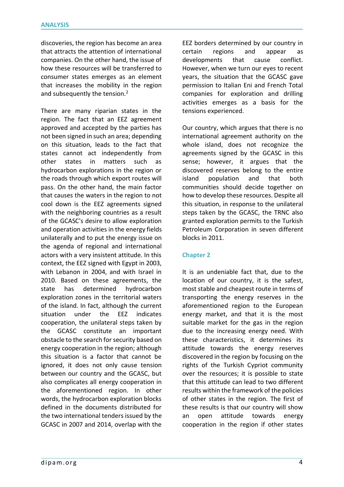discoveries, the region has become an area that attracts the attention of international companies. On the other hand, the issue of how these resources will be transferred to consumer states emerges as an element that increases the mobility in the region and subsequently the tension.<sup>2</sup>

There are many riparian states in the region. The fact that an EEZ agreement approved and accepted by the parties has not been signed in such an area; depending on this situation, leads to the fact that states cannot act independently from other states in matters such as hydrocarbon explorations in the region or the roads through which export routes will pass. On the other hand, the main factor that causes the waters in the region to not cool down is the EEZ agreements signed with the neighboring countries as a result of the GCASC's desire to allow exploration and operation activities in the energy fields unilaterally and to put the energy issue on the agenda of regional and international actors with a very insistent attitude. In this context, the EEZ signed with Egypt in 2003, with Lebanon in 2004, and with Israel in 2010. Based on these agreements, the state has determined hydrocarbon exploration zones in the territorial waters of the island. In fact, although the current situation under the EEZ indicates cooperation, the unilateral steps taken by the GCASC constitute an important obstacle to the search for security based on energy cooperation in the region; although this situation is a factor that cannot be ignored, it does not only cause tension between our country and the GCASC, but also complicates all energy cooperation in the aforementioned region. In other words, the hydrocarbon exploration blocks defined in the documents distributed for the two international tenders issued by the GCASC in 2007 and 2014, overlap with the

EEZ borders determined by our country in certain regions and appear as developments that cause conflict. However, when we turn our eyes to recent years, the situation that the GCASC gave permission to Italian Eni and French Total companies for exploration and drilling activities emerges as a basis for the tensions experienced.

Our country, which argues that there is no international agreement authority on the whole island, does not recognize the agreements signed by the GCASC in this sense; however, it argues that the discovered reserves belong to the entire island population and that both communities should decide together on how to develop these resources. Despite all this situation, in response to the unilateral steps taken by the GCASC, the TRNC also granted exploration permits to the Turkish Petroleum Corporation in seven different blocks in 2011.

### **Chapter 2**

It is an undeniable fact that, due to the location of our country, it is the safest, most stable and cheapest route in terms of transporting the energy reserves in the aforementioned region to the European energy market, and that it is the most suitable market for the gas in the region due to the increasing energy need. With these characteristics, it determines its attitude towards the energy reserves discovered in the region by focusing on the rights of the Turkish Cypriot community over the resources; it is possible to state that this attitude can lead to two different results within the framework of the policies of other states in the region. The first of these results is that our country will show an open attitude towards energy cooperation in the region if other states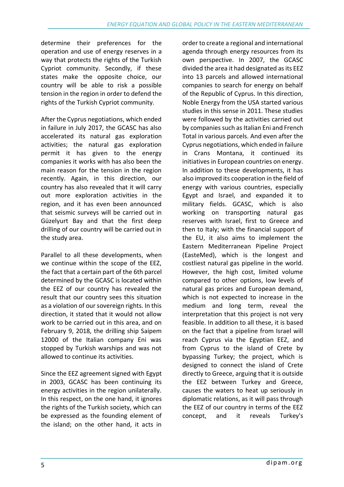determine their preferences for the operation and use of energy reserves in a way that protects the rights of the Turkish Cypriot community. Secondly, if these states make the opposite choice, our country will be able to risk a possible tension in the region in order to defend the rights of the Turkish Cypriot community.

After the Cyprus negotiations, which ended in failure in July 2017, the GCASC has also accelerated its natural gas exploration activities; the natural gas exploration permit it has given to the energy companies it works with has also been the main reason for the tension in the region recently. Again, in this direction, our country has also revealed that it will carry out more exploration activities in the region, and it has even been announced that seismic surveys will be carried out in Güzelyurt Bay and that the first deep drilling of our country will be carried out in the study area.

Parallel to all these developments, when we continue within the scope of the EEZ, the fact that a certain part of the 6th parcel determined by the GCASC is located within the EEZ of our country has revealed the result that our country sees this situation as a violation of our sovereign rights. In this direction, it stated that it would not allow work to be carried out in this area, and on February 9, 2018, the drilling ship Saipem 12000 of the Italian company Eni was stopped by Turkish warships and was not allowed to continue its activities.

Since the EEZ agreement signed with Egypt in 2003, GCASC has been continuing its energy activities in the region unilaterally. In this respect, on the one hand, it ignores the rights of the Turkish society, which can be expressed as the founding element of the island; on the other hand, it acts in

order to create a regional and international agenda through energy resources from its own perspective. In 2007, the GCASC divided the area it had designated as its EEZ into 13 parcels and allowed international companies to search for energy on behalf of the Republic of Cyprus. In this direction, Noble Energy from the USA started various studies in this sense in 2011. These studies were followed by the activities carried out by companies such as Italian Eni and French Total in various parcels. And even after the Cyprus negotiations, which ended in failure in Crans Montana, it continued its initiatives in European countries on energy. In addition to these developments, it has also improved its cooperation in the field of energy with various countries, especially Egypt and Israel, and expanded it to military fields. GCASC, which is also working on transporting natural gas reserves with Israel, first to Greece and then to Italy; with the financial support of the EU, it also aims to implement the Eastern Mediterranean Pipeline Project (EasteMed), which is the longest and costliest natural gas pipeline in the world. However, the high cost, limited volume compared to other options, low levels of natural gas prices and European demand, which is not expected to increase in the medium and long term, reveal the interpretation that this project is not very feasible. In addition to all these, it is based on the fact that a pipeline from Israel will reach Cyprus via the Egyptian EEZ, and from Cyprus to the island of Crete by bypassing Turkey; the project, which is designed to connect the island of Crete directly to Greece, arguing that it is outside the EEZ between Turkey and Greece, causes the waters to heat up seriously in diplomatic relations, as it will pass through the EEZ of our country in terms of the EEZ concept, and it reveals Turkey's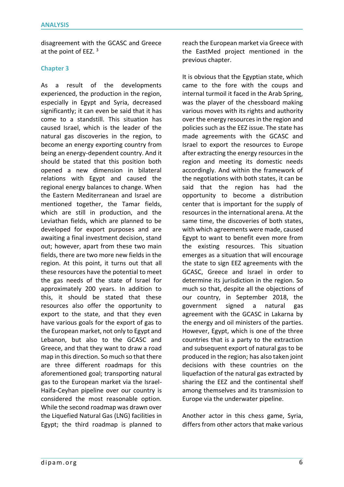disagreement with the GCASC and Greece at the point of EEZ. <sup>3</sup>

#### **Chapter 3**

As a result of the developments experienced, the production in the region, especially in Egypt and Syria, decreased significantly; it can even be said that it has come to a standstill. This situation has caused Israel, which is the leader of the natural gas discoveries in the region, to become an energy exporting country from being an energy-dependent country. And it should be stated that this position both opened a new dimension in bilateral relations with Egypt and caused the regional energy balances to change. When the Eastern Mediterranean and Israel are mentioned together, the Tamar fields, which are still in production, and the Leviathan fields, which are planned to be developed for export purposes and are awaiting a final investment decision, stand out; however, apart from these two main fields, there are two more new fields in the region. At this point, it turns out that all these resources have the potential to meet the gas needs of the state of Israel for approximately 200 years. In addition to this, it should be stated that these resources also offer the opportunity to export to the state, and that they even have various goals for the export of gas to the European market, not only to Egypt and Lebanon, but also to the GCASC and Greece, and that they want to draw a road map in this direction. So much so that there are three different roadmaps for this aforementioned goal; transporting natural gas to the European market via the Israel-Haifa-Ceyhan pipeline over our country is considered the most reasonable option. While the second roadmap was drawn over the Liquefied Natural Gas (LNG) facilities in Egypt; the third roadmap is planned to

reach the European market via Greece with the EastMed project mentioned in the previous chapter.

It is obvious that the Egyptian state, which came to the fore with the coups and internal turmoil it faced in the Arab Spring, was the player of the chessboard making various moves with its rights and authority over the energy resources in the region and policies such as the EEZ issue. The state has made agreements with the GCASC and Israel to export the resources to Europe after extracting the energy resources in the region and meeting its domestic needs accordingly. And within the framework of the negotiations with both states, it can be said that the region has had the opportunity to become a distribution center that is important for the supply of resources in the international arena. At the same time, the discoveries of both states, with which agreements were made, caused Egypt to want to benefit even more from the existing resources. This situation emerges as a situation that will encourage the state to sign EEZ agreements with the GCASC, Greece and Israel in order to determine its jurisdiction in the region. So much so that, despite all the objections of our country, in September 2018, the government signed a natural gas agreement with the GCASC in Lakarna by the energy and oil ministers of the parties. However, Egypt, which is one of the three countries that is a party to the extraction and subsequent export of natural gas to be produced in the region; has also taken joint decisions with these countries on the liquefaction of the natural gas extracted by sharing the EEZ and the continental shelf among themselves and its transmission to Europe via the underwater pipeline.

Another actor in this chess game, Syria, differs from other actors that make various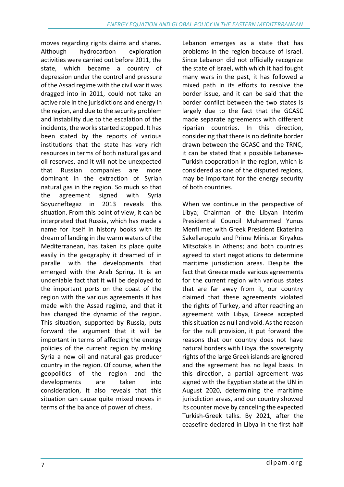moves regarding rights claims and shares. Although hydrocarbon exploration activities were carried out before 2011, the state, which became a country of depression under the control and pressure of the Assad regime with the civil war it was dragged into in 2011, could not take an active role in the jurisdictions and energy in the region, and due to the security problem and instability due to the escalation of the incidents, the works started stopped. It has been stated by the reports of various institutions that the state has very rich resources in terms of both natural gas and oil reserves, and it will not be unexpected that Russian companies are more dominant in the extraction of Syrian natural gas in the region. So much so that the agreement signed with Syria Soyuzneftegaz in 2013 reveals this situation. From this point of view, it can be interpreted that Russia, which has made a name for itself in history books with its dream of landing in the warm waters of the Mediterranean, has taken its place quite easily in the geography it dreamed of in parallel with the developments that emerged with the Arab Spring. It is an undeniable fact that it will be deployed to the important ports on the coast of the region with the various agreements it has made with the Assad regime, and that it has changed the dynamic of the region. This situation, supported by Russia, puts forward the argument that it will be important in terms of affecting the energy policies of the current region by making Syria a new oil and natural gas producer country in the region. Of course, when the geopolitics of the region and the developments are taken into consideration, it also reveals that this situation can cause quite mixed moves in terms of the balance of power of chess.

Lebanon emerges as a state that has problems in the region because of Israel. Since Lebanon did not officially recognize the state of Israel, with which it had fought many wars in the past, it has followed a mixed path in its efforts to resolve the border issue, and it can be said that the border conflict between the two states is largely due to the fact that the GCASC made separate agreements with different riparian countries. In this direction, considering that there is no definite border drawn between the GCASC and the TRNC, it can be stated that a possible Lebanese-Turkish cooperation in the region, which is considered as one of the disputed regions, may be important for the energy security of both countries.

When we continue in the perspective of Libya; Chairman of the Libyan Interim Presidential Council Muhammed Yunus Menfi met with Greek President Ekaterina Sakellaropulu and Prime Minister Kiryakos Mitsotakis in Athens; and both countries agreed to start negotiations to determine maritime jurisdiction areas. Despite the fact that Greece made various agreements for the current region with various states that are far away from it, our country claimed that these agreements violated the rights of Turkey, and after reaching an agreement with Libya, Greece accepted this situation as null and void. As the reason for the null provision, it put forward the reasons that our country does not have natural borders with Libya, the sovereignty rights of the large Greek islands are ignored and the agreement has no legal basis. In this direction, a partial agreement was signed with the Egyptian state at the UN in August 2020, determining the maritime jurisdiction areas, and our country showed its counter move by canceling the expected Turkish-Greek talks. By 2021, after the ceasefire declared in Libya in the first half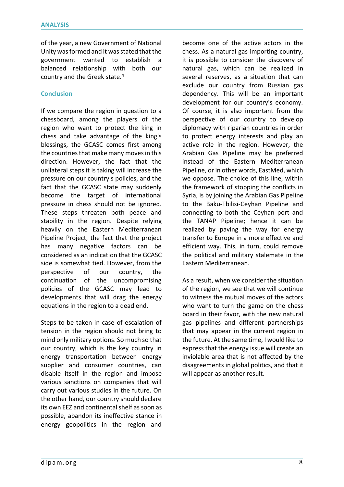of the year, a new Government of National Unity was formed and it was stated that the government wanted to establish a balanced relationship with both our country and the Greek state.<sup>4</sup>

### **Conclusion**

If we compare the region in question to a chessboard, among the players of the region who want to protect the king in chess and take advantage of the king's blessings, the GCASC comes first among the countries that make many moves in this direction. However, the fact that the unilateral steps it is taking will increase the pressure on our country's policies, and the fact that the GCASC state may suddenly become the target of international pressure in chess should not be ignored. These steps threaten both peace and stability in the region. Despite relying heavily on the Eastern Mediterranean Pipeline Project, the fact that the project has many negative factors can be considered as an indication that the GCASC side is somewhat tied. However, from the perspective of our country, the continuation of the uncompromising policies of the GCASC may lead to developments that will drag the energy equations in the region to a dead end.

Steps to be taken in case of escalation of tension in the region should not bring to mind only military options. So much so that our country, which is the key country in energy transportation between energy supplier and consumer countries, can disable itself in the region and impose various sanctions on companies that will carry out various studies in the future. On the other hand, our country should declare its own EEZ and continental shelf as soon as possible, abandon its ineffective stance in energy geopolitics in the region and

become one of the active actors in the chess. As a natural gas importing country, it is possible to consider the discovery of natural gas, which can be realized in several reserves, as a situation that can exclude our country from Russian gas dependency. This will be an important development for our country's economy. Of course, it is also important from the perspective of our country to develop diplomacy with riparian countries in order to protect energy interests and play an active role in the region. However, the Arabian Gas Pipeline may be preferred instead of the Eastern Mediterranean Pipeline, or in other words, EastMed, which we oppose. The choice of this line, within the framework of stopping the conflicts in Syria, is by joining the Arabian Gas Pipeline to the Baku-Tbilisi-Ceyhan Pipeline and connecting to both the Ceyhan port and the TANAP Pipeline; hence it can be realized by paving the way for energy transfer to Europe in a more effective and efficient way. This, in turn, could remove the political and military stalemate in the Eastern Mediterranean.

As a result, when we consider the situation of the region, we see that we will continue to witness the mutual moves of the actors who want to turn the game on the chess board in their favor, with the new natural gas pipelines and different partnerships that may appear in the current region in the future. At the same time, I would like to express that the energy issue will create an inviolable area that is not affected by the disagreements in global politics, and that it will appear as another result.